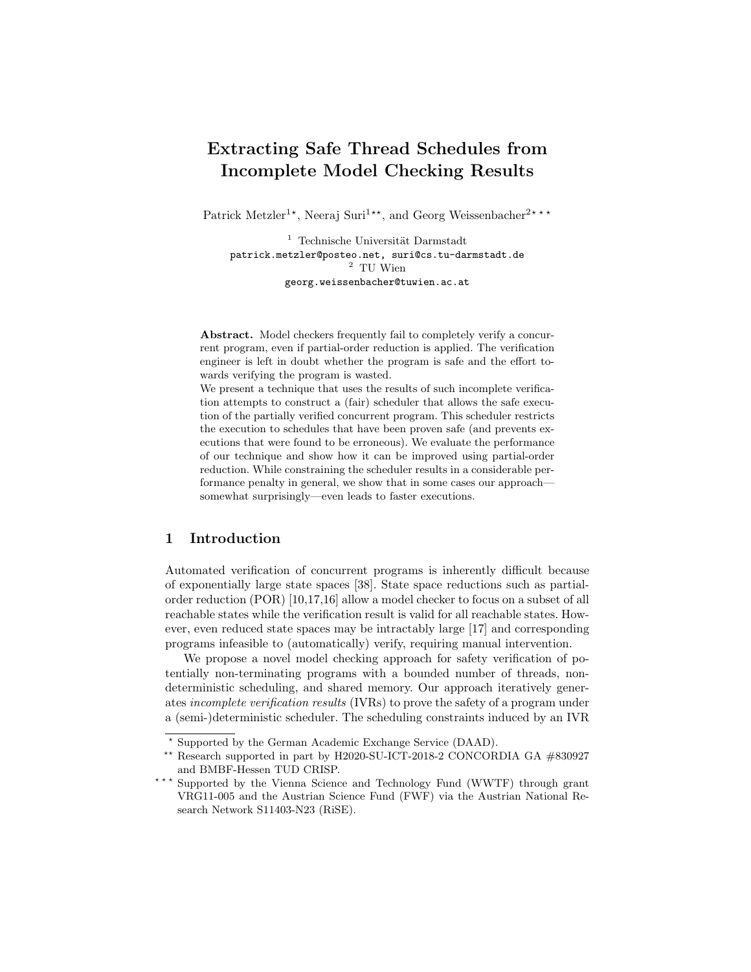# Extracting Safe Thread Schedules from Incomplete Model Checking Results

Patrick Metzler<sup>1\*</sup>, Neeraj Suri<sup>1\*\*</sup>, and Georg Weissenbacher<sup>2\*\*\*</sup>

 $^{\rm 1}$  Technische Universität Darmstadt patrick.metzler@posteo.net, suri@cs.tu-darmstadt.de  $^2\,$  TU Wien georg.weissenbacher@tuwien.ac.at

Abstract. Model checkers frequently fail to completely verify a concurrent program, even if partial-order reduction is applied. The verification engineer is left in doubt whether the program is safe and the effort towards verifying the program is wasted.

We present a technique that uses the results of such incomplete verification attempts to construct a (fair) scheduler that allows the safe execution of the partially verified concurrent program. This scheduler restricts the execution to schedules that have been proven safe (and prevents executions that were found to be erroneous). We evaluate the performance of our technique and show how it can be improved using partial-order reduction. While constraining the scheduler results in a considerable performance penalty in general, we show that in some cases our approach somewhat surprisingly—even leads to faster executions.

## 1 Introduction

Automated verification of concurrent programs is inherently difficult because of exponentially large state spaces [\[38\]](#page-17-0). State space reductions such as partialorder reduction (POR) [\[10,](#page-16-0)[17,](#page-16-1)[16\]](#page-16-2) allow a model checker to focus on a subset of all reachable states while the verification result is valid for all reachable states. However, even reduced state spaces may be intractably large [\[17\]](#page-16-1) and corresponding programs infeasible to (automatically) verify, requiring manual intervention.

We propose a novel model checking approach for safety verification of potentially non-terminating programs with a bounded number of threads, nondeterministic scheduling, and shared memory. Our approach iteratively generates incomplete verification results (IVRs) to prove the safety of a program under a (semi-)deterministic scheduler. The scheduling constraints induced by an IVR

<sup>?</sup> Supported by the German Academic Exchange Service (DAAD).

<sup>\*\*</sup> Research supported in part by H2020-SU-ICT-2018-2 CONCORDIA GA  $\#830927$ and BMBF-Hessen TUD CRISP.

<sup>\*\*\*</sup> Supported by the Vienna Science and Technology Fund (WWTF) through grant VRG11-005 and the Austrian Science Fund (FWF) via the Austrian National Research Network S11403-N23 (RiSE).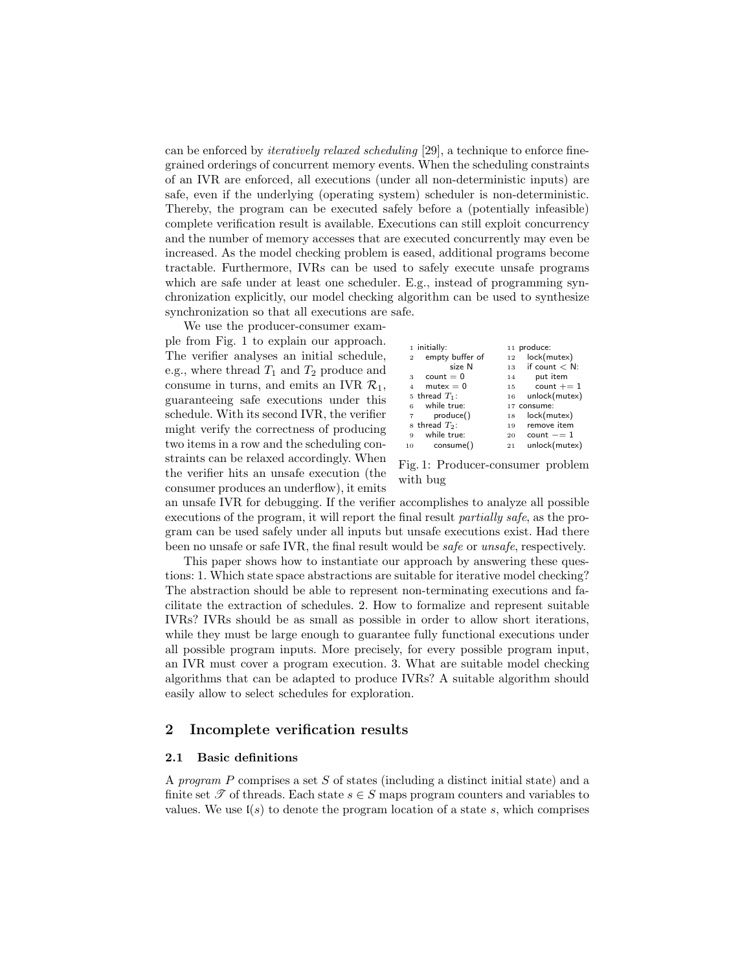can be enforced by iteratively relaxed scheduling [\[29\]](#page-17-1), a technique to enforce finegrained orderings of concurrent memory events. When the scheduling constraints of an IVR are enforced, all executions (under all non-deterministic inputs) are safe, even if the underlying (operating system) scheduler is non-deterministic. Thereby, the program can be executed safely before a (potentially infeasible) complete verification result is available. Executions can still exploit concurrency and the number of memory accesses that are executed concurrently may even be increased. As the model checking problem is eased, additional programs become tractable. Furthermore, IVRs can be used to safely execute unsafe programs which are safe under at least one scheduler. E.g., instead of programming synchronization explicitly, our model checking algorithm can be used to synthesize synchronization so that all executions are safe.

We use the producer-consumer example from Fig. [1](#page-1-0) to explain our approach. The verifier analyses an initial schedule, e.g., where thread  $T_1$  and  $T_2$  produce and consume in turns, and emits an IVR  $\mathcal{R}_1$ , guaranteeing safe executions under this schedule. With its second IVR, the verifier might verify the correctness of producing two items in a row and the scheduling constraints can be relaxed accordingly. When the verifier hits an unsafe execution (the consumer produces an underflow), it emits

<span id="page-1-3"></span><span id="page-1-2"></span><span id="page-1-1"></span><span id="page-1-0"></span>

|                | 1 initially:                 |    | 11 produce:      |
|----------------|------------------------------|----|------------------|
| $\overline{2}$ | empty buffer of              | 12 | lock(mutex)      |
|                | size N                       | 13 | if count $< N$ : |
| 3              | $count = 0$                  | 14 | put item         |
| $\overline{4}$ | $m$ utex $= 0$               | 15 | count $+= 1$     |
|                | 5 thread $T_1$ :             | 16 | unlock(mutex)    |
| 6              | while true:                  |    | 17 consume:      |
| $\overline{7}$ | produce()                    | 18 | lock(mutes)      |
|                | $\rm s$ thread $T_{\rm 2}$ : | 19 | remove item      |
| 9              | while true:                  | 20 | $count == 1$     |
| 10             | consume()                    | 21 | unlock(mutex)    |

Fig. 1: Producer-consumer problem with bug

an unsafe IVR for debugging. If the verifier accomplishes to analyze all possible executions of the program, it will report the final result partially safe, as the program can be used safely under all inputs but unsafe executions exist. Had there been no unsafe or safe IVR, the final result would be safe or unsafe, respectively.

This paper shows how to instantiate our approach by answering these questions: 1. Which state space abstractions are suitable for iterative model checking? The abstraction should be able to represent non-terminating executions and facilitate the extraction of schedules. 2. How to formalize and represent suitable IVRs? IVRs should be as small as possible in order to allow short iterations, while they must be large enough to guarantee fully functional executions under all possible program inputs. More precisely, for every possible program input, an IVR must cover a program execution. 3. What are suitable model checking algorithms that can be adapted to produce IVRs? A suitable algorithm should easily allow to select schedules for exploration.

## 2 Incomplete verification results

#### 2.1 Basic definitions

A program P comprises a set S of states (including a distinct initial state) and a finite set  $\mathscr T$  of threads. Each state  $s \in S$  maps program counters and variables to values. We use  $I(s)$  to denote the program location of a state s, which comprises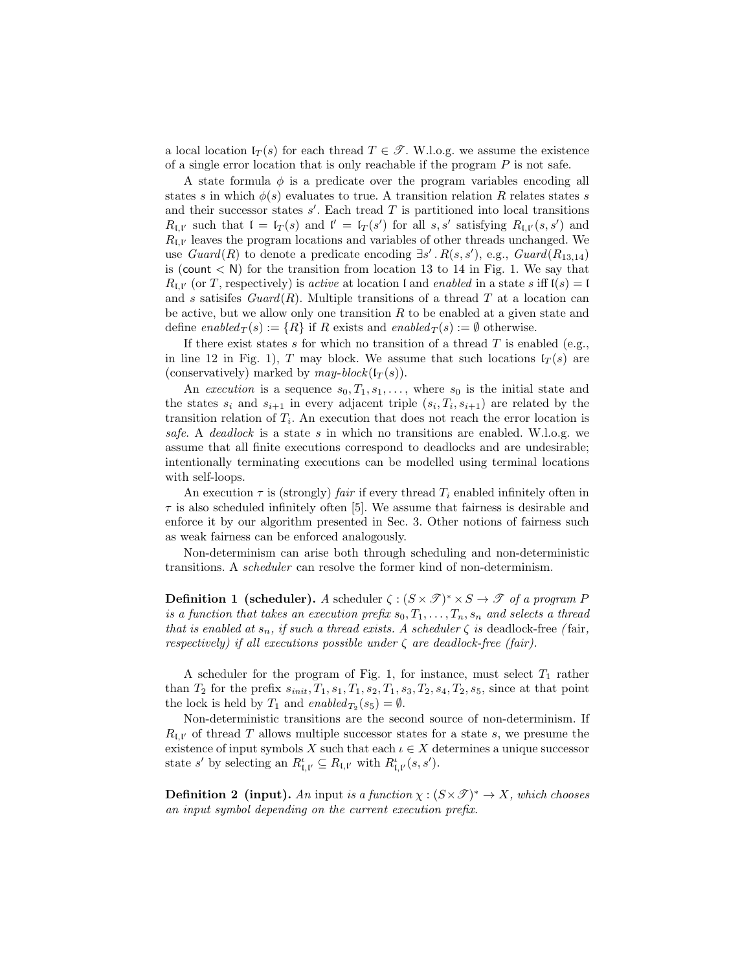a local location  $I_T(s)$  for each thread  $T \in \mathcal{T}$ . W.l.o.g. we assume the existence of a single error location that is only reachable if the program  $P$  is not safe.

A state formula  $\phi$  is a predicate over the program variables encoding all states s in which  $\phi(s)$  evaluates to true. A transition relation R relates states s and their successor states  $s'$ . Each tread  $T$  is partitioned into local transitions  $R_{\mathfrak{l},\mathfrak{l}'}$  such that  $\mathfrak{l} = \mathfrak{l}_T(s)$  and  $\mathfrak{l}' = \mathfrak{l}_T(s')$  for all s, s' satisfying  $R_{\mathfrak{l},\mathfrak{l}'}(s,s')$  and  $R_{\mathfrak{l},\mathfrak{l}'}$  leaves the program locations and variables of other threads unchanged. We use  $Guard(R)$  to denote a predicate encoding  $\exists s' \, R(s, s')$ , e.g.,  $Guard(R_{13,14})$ is (count  $\langle N \rangle$ ) for the transition from location [13](#page-1-1) to [14](#page-1-2) in Fig. [1.](#page-1-0) We say that  $R_{\mathfrak{l},\mathfrak{l}'}$  (or T, respectively) is *active* at location l and enabled in a state s iff  $\mathfrak{l}(s) = \mathfrak{l}$ and s satisfies  $Guard(R)$ . Multiple transitions of a thread T at a location can be active, but we allow only one transition  $R$  to be enabled at a given state and define enabled  $T(s) := \{R\}$  if R exists and enabled  $T(s) := \emptyset$  otherwise.

If there exist states s for which no transition of a thread  $T$  is enabled (e.g., in line [12](#page-1-3) in Fig. [1\)](#page-1-0), T may block. We assume that such locations  $I_T(s)$  are (conservatively) marked by  $may-block(I<sub>T</sub>(s)).$ 

An execution is a sequence  $s_0, T_1, s_1, \ldots$ , where  $s_0$  is the initial state and the states  $s_i$  and  $s_{i+1}$  in every adjacent triple  $(s_i, T_i, s_{i+1})$  are related by the transition relation of  $T_i$ . An execution that does not reach the error location is safe. A deadlock is a state s in which no transitions are enabled. W.l.o.g. we assume that all finite executions correspond to deadlocks and are undesirable; intentionally terminating executions can be modelled using terminal locations with self-loops.

An execution  $\tau$  is (strongly) fair if every thread  $T_i$  enabled infinitely often in  $\tau$  is also scheduled infinitely often [\[5\]](#page-16-3). We assume that fairness is desirable and enforce it by our algorithm presented in Sec. [3.](#page-6-0) Other notions of fairness such as weak fairness can be enforced analogously.

Non-determinism can arise both through scheduling and non-deterministic transitions. A scheduler can resolve the former kind of non-determinism.

**Definition 1** (scheduler). A scheduler  $\zeta$ :  $(S \times \mathcal{T})^* \times S \rightarrow \mathcal{T}$  of a program F is a function that takes an execution prefix  $s_0, T_1, \ldots, T_n, s_n$  and selects a thread that is enabled at  $s_n$ , if such a thread exists. A scheduler  $\zeta$  is deadlock-free (fair, respectively) if all executions possible under  $\zeta$  are deadlock-free (fair).

A scheduler for the program of Fig. [1,](#page-1-0) for instance, must select  $T_1$  rather than  $T_2$  for the prefix  $s_{init}, T_1, s_1, T_1, s_2, T_1, s_3, T_2, s_4, T_2, s_5$ , since at that point the lock is held by  $T_1$  and  $\mathit{enabled}_{T_2}(s_5) = \emptyset$ .

Non-deterministic transitions are the second source of non-determinism. If  $R_{\mathfrak{l},\mathfrak{l}'}$  of thread T allows multiple successor states for a state s, we presume the existence of input symbols X such that each  $\iota \in X$  determines a unique successor state s' by selecting an  $R^{\iota}_{\mathfrak{l},\mathfrak{l}'}\subseteq R_{\mathfrak{l},\mathfrak{l}'}$  with  $R^{\iota}_{\mathfrak{l},\mathfrak{l}'}(s,s').$ 

**Definition 2 (input).** An input is a function  $\chi : (S \times \mathcal{T})^* \to X$ , which chooses an input symbol depending on the current execution prefix.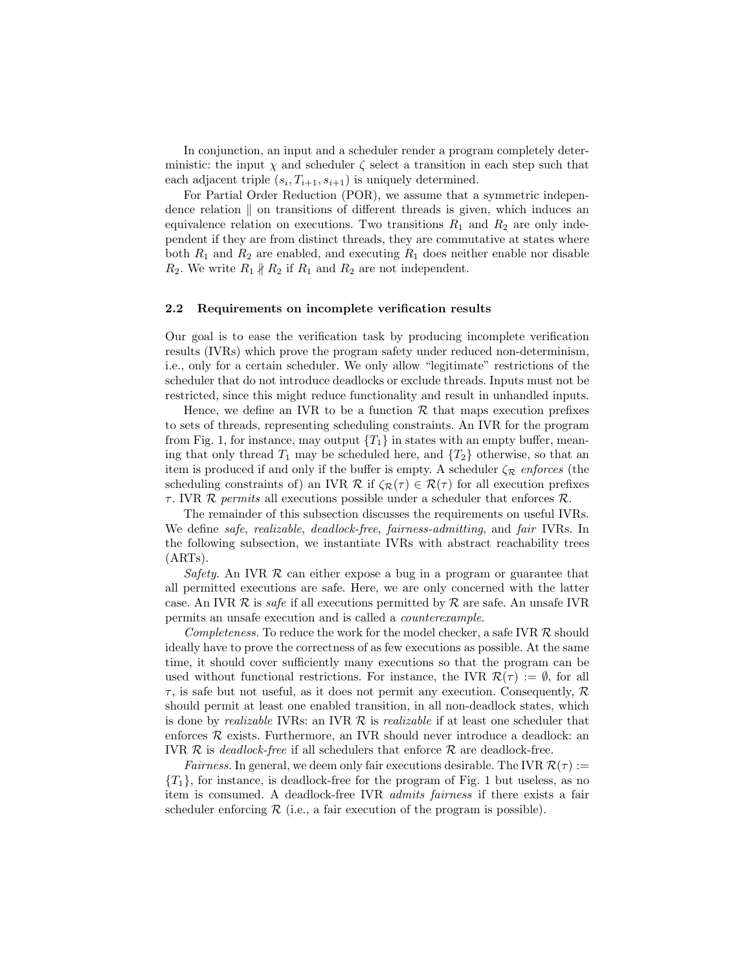In conjunction, an input and a scheduler render a program completely deterministic: the input  $\chi$  and scheduler  $\zeta$  select a transition in each step such that each adjacent triple  $(s_i, T_{i+1}, s_{i+1})$  is uniquely determined.

For Partial Order Reduction (POR), we assume that a symmetric independence relation  $\parallel$  on transitions of different threads is given, which induces an equivalence relation on executions. Two transitions  $R_1$  and  $R_2$  are only independent if they are from distinct threads, they are commutative at states where both  $R_1$  and  $R_2$  are enabled, and executing  $R_1$  does neither enable nor disable  $R_2$ . We write  $R_1 \nparallel R_2$  if  $R_1$  and  $R_2$  are not independent.

#### 2.2 Requirements on incomplete verification results

Our goal is to ease the verification task by producing incomplete verification results (IVRs) which prove the program safety under reduced non-determinism, i.e., only for a certain scheduler. We only allow "legitimate" restrictions of the scheduler that do not introduce deadlocks or exclude threads. Inputs must not be restricted, since this might reduce functionality and result in unhandled inputs.

Hence, we define an IVR to be a function  $\mathcal R$  that maps execution prefixes to sets of threads, representing scheduling constraints. An IVR for the program from Fig. [1,](#page-1-0) for instance, may output  $\{T_1\}$  in states with an empty buffer, meaning that only thread  $T_1$  may be scheduled here, and  $\{T_2\}$  otherwise, so that an item is produced if and only if the buffer is empty. A scheduler  $\zeta_{\mathcal{R}}$  enforces (the scheduling constraints of) an IVR  $\mathcal R$  if  $\zeta_{\mathcal R}(\tau) \in \mathcal R(\tau)$  for all execution prefixes  $\tau$ . IVR  $\mathcal R$  permits all executions possible under a scheduler that enforces  $\mathcal R$ .

The remainder of this subsection discusses the requirements on useful IVRs. We define *safe*, *realizable*, *deadlock-free*, *fairness-admitting*, and *fair* IVRs. In the following subsection, we instantiate IVRs with abstract reachability trees (ARTs).

Safety. An IVR  $R$  can either expose a bug in a program or guarantee that all permitted executions are safe. Here, we are only concerned with the latter case. An IVR  $R$  is *safe* if all executions permitted by  $R$  are safe. An unsafe IVR permits an unsafe execution and is called a counterexample.

Completeness. To reduce the work for the model checker, a safe IVR  $R$  should ideally have to prove the correctness of as few executions as possible. At the same time, it should cover sufficiently many executions so that the program can be used without functional restrictions. For instance, the IVR  $\mathcal{R}(\tau) := \emptyset$ , for all  $\tau$ , is safe but not useful, as it does not permit any execution. Consequently,  $\mathcal{R}$ should permit at least one enabled transition, in all non-deadlock states, which is done by *realizable* IVRs: an IVR  $R$  is *realizable* if at least one scheduler that enforces  $R$  exists. Furthermore, an IVR should never introduce a deadlock: an IVR  $\mathcal R$  is *deadlock-free* if all schedulers that enforce  $\mathcal R$  are deadlock-free.

*Fairness.* In general, we deem only fair executions desirable. The IVR  $\mathcal{R}(\tau) :=$  ${T_1}$ , for instance, is deadlock-free for the program of Fig. [1](#page-1-0) but useless, as no item is consumed. A deadlock-free IVR admits fairness if there exists a fair scheduler enforcing  $R$  (i.e., a fair execution of the program is possible).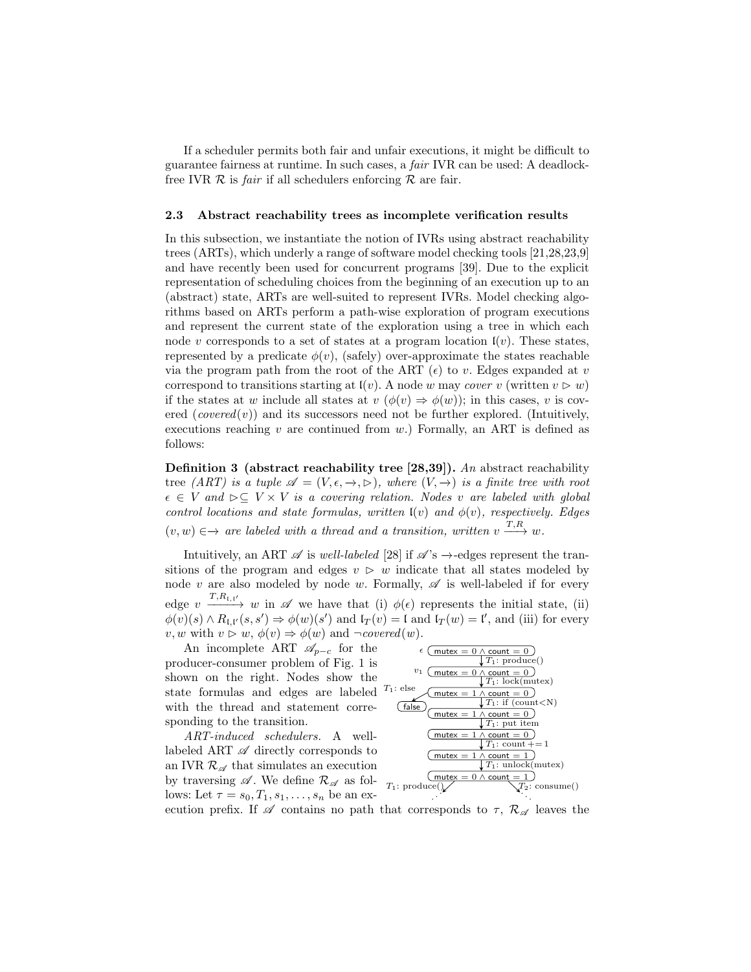If a scheduler permits both fair and unfair executions, it might be difficult to guarantee fairness at runtime. In such cases, a fair IVR can be used: A deadlockfree IVR  $\mathcal R$  is *fair* if all schedulers enforcing  $\mathcal R$  are fair.

#### <span id="page-4-0"></span>2.3 Abstract reachability trees as incomplete verification results

In this subsection, we instantiate the notion of IVRs using abstract reachability trees (ARTs), which underly a range of software model checking tools [\[21,](#page-16-4)[28,](#page-17-2)[23,](#page-17-3)[9\]](#page-16-5) and have recently been used for concurrent programs [\[39\]](#page-17-4). Due to the explicit representation of scheduling choices from the beginning of an execution up to an (abstract) state, ARTs are well-suited to represent IVRs. Model checking algorithms based on ARTs perform a path-wise exploration of program executions and represent the current state of the exploration using a tree in which each node v corresponds to a set of states at a program location  $\mathfrak{l}(v)$ . These states, represented by a predicate  $\phi(v)$ , (safely) over-approximate the states reachable via the program path from the root of the ART  $(\epsilon)$  to v. Edges expanded at v correspond to transitions starting at  $\mathfrak{l}(v)$ . A node w may cover v (written  $v \triangleright w$ ) if the states at w include all states at  $v \, (\phi(v) \Rightarrow \phi(w))$ ; in this cases, v is covered  $(covered(v))$  and its successors need not be further explored. (Intuitively, executions reaching  $v$  are continued from  $w$ .) Formally, an ART is defined as follows:

Definition 3 (abstract reachability tree [\[28,](#page-17-2)[39\]](#page-17-4)). An abstract reachability tree (ART) is a tuple  $\mathscr{A} = (V, \epsilon, \rightarrow, \rhd)$ , where  $(V, \rightarrow)$  is a finite tree with root  $\epsilon \in V$  and  $\triangleright \subseteq V \times V$  is a covering relation. Nodes v are labeled with global control locations and state formulas, written  $\mathfrak{l}(v)$  and  $\phi(v)$ , respectively. Edges  $(v, w) \in \rightarrow$  are labeled with a thread and a transition, written  $v \stackrel{T, R}{\longrightarrow} w$ .

Intuitively, an ART  $\mathscr A$  is well-labeled [\[28\]](#page-17-2) if  $\mathscr A$ 's  $\rightarrow$ -edges represent the transitions of the program and edges  $v \geq w$  indicate that all states modeled by node v are also modeled by node w. Formally,  $\mathscr A$  is well-labeled if for every edge  $v \xrightarrow{T,R_{1,l'}} w$  in  $\mathscr A$  we have that (i)  $\phi(\epsilon)$  represents the initial state, (ii)  $\phi(v)(s) \wedge R_{\mathfrak{l},\mathfrak{l}'}(s,s') \Rightarrow \phi(w)(s')$  and  $\mathfrak{l}_T(v) = \mathfrak{l}$  and  $\mathfrak{l}_T(w) = \mathfrak{l}'$ , and (iii) for every v, w with  $v \triangleright w$ ,  $\phi(v) \Rightarrow \phi(w)$  and  $\neg covered(w)$ .

An incomplete ART  $\mathscr{A}_{p-c}$  for the producer-consumer problem of Fig. [1](#page-1-0) is shown on the right. Nodes show the state formulas and edges are labeled with the thread and statement corresponding to the transition.

ART-induced schedulers. A welllabeled ART  $\mathscr A$  directly corresponds to an IVR  $\mathcal{R}_{\mathscr{A}}$  that simulates an execution by traversing  $\mathscr A$ . We define  $\mathcal R_{\mathscr A}$  as follows: Let  $\tau = s_0, T_1, s_1, \ldots, s_n$  be an ex-



ecution prefix. If  $\mathscr A$  contains no path that corresponds to  $\tau$ ,  $\mathcal R_{\mathscr A}$  leaves the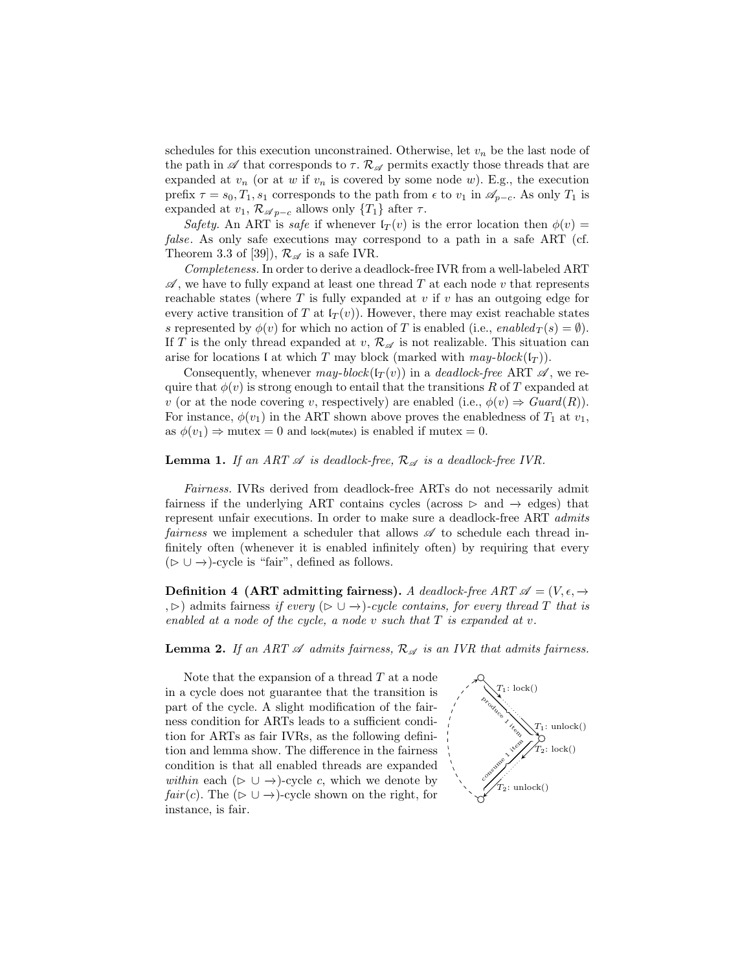schedules for this execution unconstrained. Otherwise, let  $v_n$  be the last node of the path in  $\mathscr A$  that corresponds to  $\tau$ .  $\mathcal R_{\mathscr A}$  permits exactly those threads that are expanded at  $v_n$  (or at w if  $v_n$  is covered by some node w). E.g., the execution prefix  $\tau = s_0, T_1, s_1$  corresponds to the path from  $\epsilon$  to  $v_1$  in  $\mathscr{A}_{p-c}$ . As only  $T_1$  is expanded at  $v_1, \mathcal{R}_{\mathscr{A}_{p-c}}$  allows only  $\{T_1\}$  after  $\tau$ .

Safety. An ART is safe if whenever  $I_T(v)$  is the error location then  $\phi(v)$  = false. As only safe executions may correspond to a path in a safe ART (cf. Theorem 3.3 of [\[39\]](#page-17-4)),  $\mathcal{R}_{\mathscr{A}}$  is a safe IVR.

Completeness. In order to derive a deadlock-free IVR from a well-labeled ART  $\mathscr A$ , we have to fully expand at least one thread T at each node v that represents reachable states (where  $T$  is fully expanded at  $v$  if  $v$  has an outgoing edge for every active transition of T at  $l_T(v)$ ). However, there may exist reachable states s represented by  $\phi(v)$  for which no action of T is enabled (i.e., enabled  $\tau(s) = \emptyset$ ). If T is the only thread expanded at  $v, \mathcal{R}_{\mathscr{A}}$  is not realizable. This situation can arise for locations I at which T may block (marked with may-block( $I_T$ )).

Consequently, whenever may-block( $I_T(v)$ ) in a deadlock-free ART  $\mathscr A$ , we require that  $\phi(v)$  is strong enough to entail that the transitions R of T expanded at v (or at the node covering v, respectively) are enabled (i.e.,  $\phi(v) \Rightarrow Guard(R)$ ). For instance,  $\phi(v_1)$  in the ART shown above proves the enabledness of  $T_1$  at  $v_1$ , as  $\phi(v_1) \Rightarrow$  mutex = 0 and lock(mutex) is enabled if mutex = 0.

## **Lemma 1.** If an ART  $\mathscr A$  is deadlock-free,  $\mathcal R_{\mathscr A}$  is a deadlock-free IVR.

Fairness. IVRs derived from deadlock-free ARTs do not necessarily admit fairness if the underlying ART contains cycles (across  $\triangleright$  and  $\rightarrow$  edges) that represent unfair executions. In order to make sure a deadlock-free ART admits fairness we implement a scheduler that allows  $\mathscr A$  to schedule each thread infinitely often (whenever it is enabled infinitely often) by requiring that every  $(\triangleright \cup \rightarrow)$ -cycle is "fair", defined as follows.

**Definition 4 (ART admitting fairness).** A deadlock-free ART  $\mathscr{A} = (V, \epsilon, \rightarrow$ ,  $\triangleright$ ) admits fairness if every ( $\triangleright$  ∪ →)-cycle contains, for every thread T that is enabled at a node of the cycle, a node v such that T is expanded at v.

**Lemma 2.** If an ART  $\mathscr A$  admits fairness,  $\mathcal R_{\mathscr A}$  is an IVR that admits fairness.

Note that the expansion of a thread  $T$  at a node in a cycle does not guarantee that the transition is part of the cycle. A slight modification of the fairness condition for ARTs leads to a sufficient condition for ARTs as fair IVRs, as the following definition and lemma show. The difference in the fairness condition is that all enabled threads are expanded within each ( $\triangleright \cup \rightarrow$ )-cycle c, which we denote by  $fair(c)$ . The ( $\triangleright \cup \rightarrow$ )-cycle shown on the right, for instance, is fair.

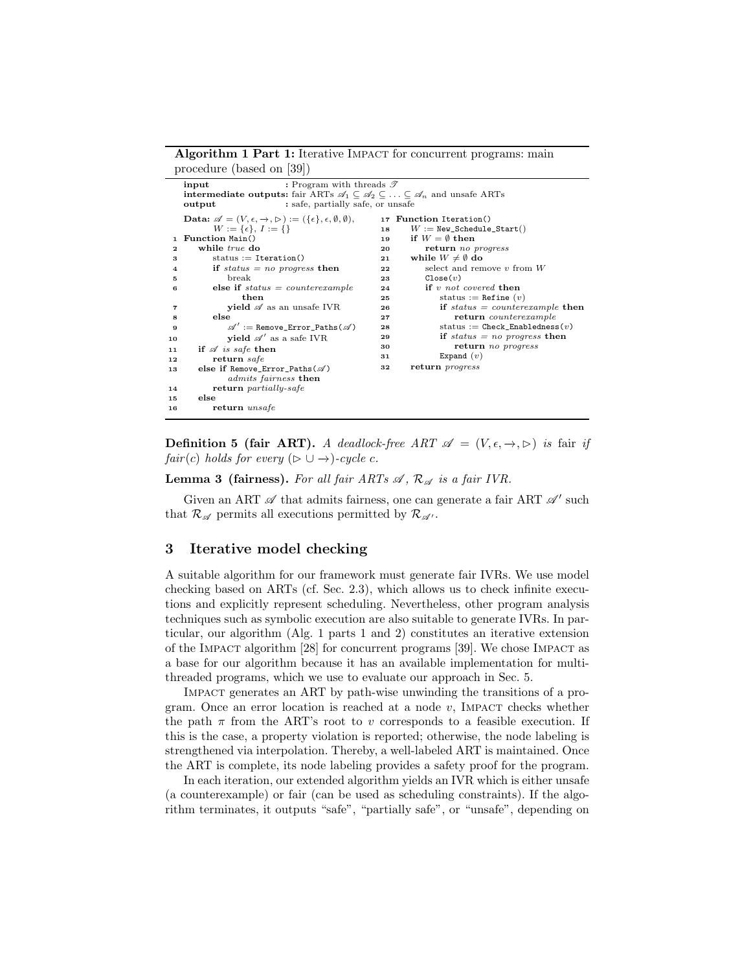#### Algorithm 1 Part 1: Iterative IMPACT for concurrent programs: main procedure (based on [\[39\]](#page-17-4))

<span id="page-6-9"></span><span id="page-6-7"></span><span id="page-6-6"></span><span id="page-6-2"></span><span id="page-6-1"></span>

|              | : Program with threads $\mathscr{T}$<br>input                                                                                           |    |                                       |  |  |  |  |
|--------------|-----------------------------------------------------------------------------------------------------------------------------------------|----|---------------------------------------|--|--|--|--|
|              | <b>intermediate outputs:</b> fair ARTs $\mathscr{A}_1 \subseteq \mathscr{A}_2 \subseteq \ldots \subseteq \mathscr{A}_n$ and unsafe ARTs |    |                                       |  |  |  |  |
|              | : safe, partially safe, or unsafe<br>output                                                                                             |    |                                       |  |  |  |  |
|              |                                                                                                                                         |    |                                       |  |  |  |  |
|              | <b>Data:</b> $\mathscr{A} = (V, \epsilon, \rightarrow, \rhd) := (\{\epsilon\}, \epsilon, \emptyset, \emptyset),$                        |    | 17 Function Iteration()               |  |  |  |  |
|              | $W := {\varepsilon}, I := {\varepsilon}$                                                                                                | 18 | $W := \text{New\_Scheduling\_Start()$ |  |  |  |  |
|              | 1 Function Main()                                                                                                                       | 19 | if $W = \emptyset$ then               |  |  |  |  |
| $\mathbf{2}$ | while <i>true</i> do                                                                                                                    | 20 | return no progress                    |  |  |  |  |
| 3            | $status := Iteration()$                                                                                                                 | 21 | while $W \neq \emptyset$ do           |  |  |  |  |
| 4            | if status $= no$ progress then                                                                                                          | 22 | select and remove $v$ from $W$        |  |  |  |  |
| 5            | break                                                                                                                                   | 23 | Close(v)                              |  |  |  |  |
| 6            | else if $status = counterexample$                                                                                                       | 24 | if $v$ not covered then               |  |  |  |  |
|              | then                                                                                                                                    | 25 | status := Refine $(v)$                |  |  |  |  |
| 7            | <b>yield</b> $\mathscr A$ as an unsafe IVR                                                                                              | 26 | if status = counterexample then       |  |  |  |  |
| 8            | else                                                                                                                                    | 27 | return counterexample                 |  |  |  |  |
| 9            | $\mathscr{A}' :=$ Remove Error Paths $(\mathscr{A})$                                                                                    | 28 | status := $Check\_Enabledness(v)$     |  |  |  |  |
| 10           | <b>yield</b> $\mathscr{A}'$ as a safe IVR                                                                                               | 29 | if status $= no$ progress then        |  |  |  |  |
| 11           | if $\mathscr A$ is safe then                                                                                                            | 30 | return no progress                    |  |  |  |  |
| 12           | return safe                                                                                                                             | 31 | Expand $(v)$                          |  |  |  |  |
| 13           | else if Remove_Error_Paths $(\mathscr{A})$                                                                                              | 32 | return <i>progress</i>                |  |  |  |  |
|              | <i>admits fairness</i> then                                                                                                             |    |                                       |  |  |  |  |
| 14           | return partially-safe                                                                                                                   |    |                                       |  |  |  |  |
|              | else                                                                                                                                    |    |                                       |  |  |  |  |
| 15           |                                                                                                                                         |    |                                       |  |  |  |  |
| 16           | return <i>unsafe</i>                                                                                                                    |    |                                       |  |  |  |  |

<span id="page-6-8"></span><span id="page-6-5"></span><span id="page-6-4"></span><span id="page-6-3"></span>**Definition 5 (fair ART).** A deadlock-free ART  $\mathscr{A} = (V, \epsilon, \rightarrow, \rhd)$  is fair if  $fair(c) holds for every (\rhd \cup \rightarrow) - cycle c.$ 

**Lemma 3 (fairness).** For all fair ARTs  $\mathscr A$ ,  $\mathcal R_{\mathscr A}$  is a fair IVR.

Given an ART  $\mathscr A$  that admits fairness, one can generate a fair ART  $\mathscr A'$  such that  $\mathcal{R}_{\mathscr{A}}$  permits all executions permitted by  $\mathcal{R}_{\mathscr{A}}$ .

## <span id="page-6-0"></span>3 Iterative model checking

A suitable algorithm for our framework must generate fair IVRs. We use model checking based on ARTs (cf. Sec. [2.3\)](#page-4-0), which allows us to check infinite executions and explicitly represent scheduling. Nevertheless, other program analysis techniques such as symbolic execution are also suitable to generate IVRs. In particular, our algorithm (Alg. 1 parts [1](#page-6-1) and [2\)](#page-7-0) constitutes an iterative extension of the Impact algorithm [\[28\]](#page-17-2) for concurrent programs [\[39\]](#page-17-4). We chose Impact as a base for our algorithm because it has an available implementation for multithreaded programs, which we use to evaluate our approach in Sec. [5.](#page-9-0)

Impact generates an ART by path-wise unwinding the transitions of a program. Once an error location is reached at a node  $v$ , IMPACT checks whether the path  $\pi$  from the ART's root to v corresponds to a feasible execution. If this is the case, a property violation is reported; otherwise, the node labeling is strengthened via interpolation. Thereby, a well-labeled ART is maintained. Once the ART is complete, its node labeling provides a safety proof for the program.

In each iteration, our extended algorithm yields an IVR which is either unsafe (a counterexample) or fair (can be used as scheduling constraints). If the algorithm terminates, it outputs "safe", "partially safe", or "unsafe", depending on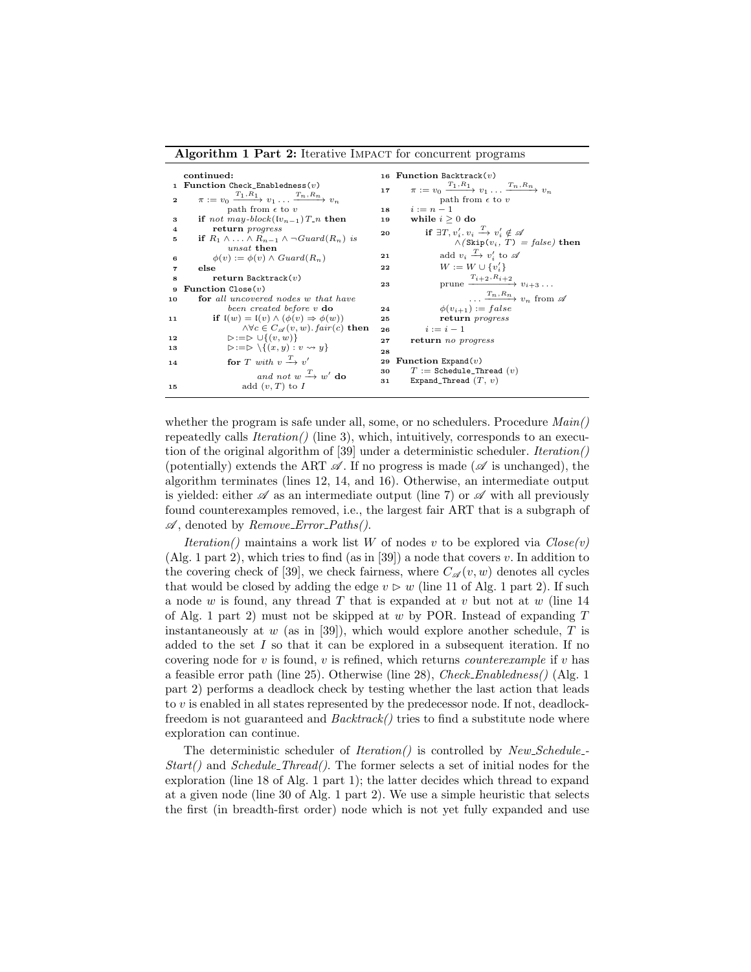#### Algorithm 1 Part 2: Iterative IMPACT for concurrent programs

<span id="page-7-0"></span>

|                | continued:                                                                     |    | 16 Function Backtrack $(v)$                                                     |
|----------------|--------------------------------------------------------------------------------|----|---------------------------------------------------------------------------------|
|                | 1 Function Check_Enabledness $(v)$                                             |    | $\pi := v_0 \xrightarrow{T_1, R_1} v_1 \dots \xrightarrow{T_n, R_n} v_n$        |
|                | $\pi := v_0 \xrightarrow{T_1, R_1} v_1 \dots \xrightarrow{T_n, R_n} v_n$       | 17 |                                                                                 |
| $\mathbf{2}$   |                                                                                |    | path from $\epsilon$ to $v$                                                     |
|                | path from $\epsilon$ to $v$                                                    | 18 | $i:=n-1$                                                                        |
| з              | if not may-block( $[v_{n-1}]$ ) $T_n$ then                                     | 19 | while $i \geq 0$ do                                                             |
| $\overline{4}$ | return <i>progress</i>                                                         | 20 | if $\exists T, v'_i, v_i \stackrel{T}{\longrightarrow} v'_i \notin \mathscr{A}$ |
| 5              | if $R_1 \wedge \ldots \wedge R_{n-1} \wedge \neg Guard(R_n)$ is                |    | $\wedge$ (Skip $(v_i, T) = false$ ) then                                        |
|                | unsat then                                                                     |    |                                                                                 |
| 6              | $\phi(v) := \phi(v) \wedge Guard(R_n)$                                         | 21 | add $v_i \stackrel{T}{\rightarrow} v'_i$ to $\mathscr A$                        |
| 7              | else                                                                           | 22 | $W := W \cup \{v'_i\}$                                                          |
| 8              | return Backtrack $(v)$                                                         |    | prune $\xrightarrow{T_{i+2}, R_{i+2}} v_{i+3} \dots$                            |
| 9              | <b>Function</b> $Close(v)$                                                     | 23 |                                                                                 |
| 10             | for all uncovered nodes w that have                                            |    | $\ldots \xrightarrow{T_n, R_n} v_n$ from $\mathscr A$                           |
|                | been created before v do                                                       | 24 | $\phi(v_{i+1}) := false$                                                        |
| 11             | if $I(w) = I(v) \wedge (\phi(v) \Rightarrow \phi(w))$                          | 25 | return progress                                                                 |
|                | $\land \forall c \in C_{\mathscr{A}}(v, w)$ . fair(c) then                     | 26 | $i := i - 1$                                                                    |
| 12             | $\triangleright := \triangleright \cup \{(v, w)\}\$                            | 27 | return no progress                                                              |
| 13             | $\triangleright := \triangleright \setminus \{(x, y) : v \rightsquigarrow y\}$ | 28 |                                                                                 |
|                | for T with $v \xrightarrow{T} v'$                                              |    | 29 Function Expand $(v)$                                                        |
| 14             |                                                                                |    |                                                                                 |
|                | and not $w \stackrel{T}{\longrightarrow} w'$ do                                | 30 | $T :=$ Schedule_Thread $(v)$                                                    |
| 15             | add $(v, T)$ to I                                                              | 31 | Expand_Thread $(T, v)$                                                          |
|                |                                                                                |    |                                                                                 |

<span id="page-7-3"></span><span id="page-7-2"></span><span id="page-7-1"></span>whether the program is safe under all, some, or no schedulers. Procedure  $Main()$ repeatedly calls  $Iteration()$  (line [3\)](#page-6-2), which, intuitively, corresponds to an execution of the original algorithm of [\[39\]](#page-17-4) under a deterministic scheduler. Iteration() (potentially) extends the ART  $\mathscr A$ . If no progress is made ( $\mathscr A$  is unchanged), the algorithm terminates (lines [12,](#page-6-3) [14,](#page-6-4) and [16\)](#page-6-5). Otherwise, an intermediate output is yielded: either  $\mathscr A$  as an intermediate output (line [7\)](#page-6-6) or  $\mathscr A$  with all previously found counterexamples removed, i.e., the largest fair ART that is a subgraph of  $\mathscr A$ , denoted by *Remove\_Error\_Paths()*.

Iteration() maintains a work list W of nodes v to be explored via  $Close(v)$ (Alg. 1 part [2\)](#page-7-0), which tries to find (as in [\[39\]](#page-17-4)) a node that covers v. In addition to the covering check of [\[39\]](#page-17-4), we check fairness, where  $C_{\mathscr{A}}(v, w)$  denotes all cycles that would be closed by adding the edge  $v \triangleright w$  (line [11](#page-7-1) of Alg. 1 part [2\)](#page-7-0). If such a node w is found, any thread T that is expanded at v but not at  $w$  (line [14](#page-7-2)) of Alg. 1 part [2\)](#page-7-0) must not be skipped at  $w$  by POR. Instead of expanding  $T$ instantaneously at w (as in [\[39\]](#page-17-4)), which would explore another schedule,  $T$  is added to the set I so that it can be explored in a subsequent iteration. If no covering node for  $v$  is found,  $v$  is refined, which returns *counterexample* if  $v$  has a feasible error path (line [25\)](#page-6-7). Otherwise (line [28\)](#page-6-8), Check Enabledness() (Alg. 1 part [2\)](#page-7-0) performs a deadlock check by testing whether the last action that leads to v is enabled in all states represented by the predecessor node. If not, deadlockfreedom is not guaranteed and  $Backtrack()$  tries to find a substitute node where exploration can continue.

The deterministic scheduler of *Iteration*() is controlled by  $New\_Scheduling$ - $Start()$  and  $Scheduler\_Thread()$ . The former selects a set of initial nodes for the exploration (line [18](#page-6-9) of Alg. 1 part [1\)](#page-6-1); the latter decides which thread to expand at a given node (line [30](#page-7-3) of Alg. 1 part [2\)](#page-7-0). We use a simple heuristic that selects the first (in breadth-first order) node which is not yet fully expanded and use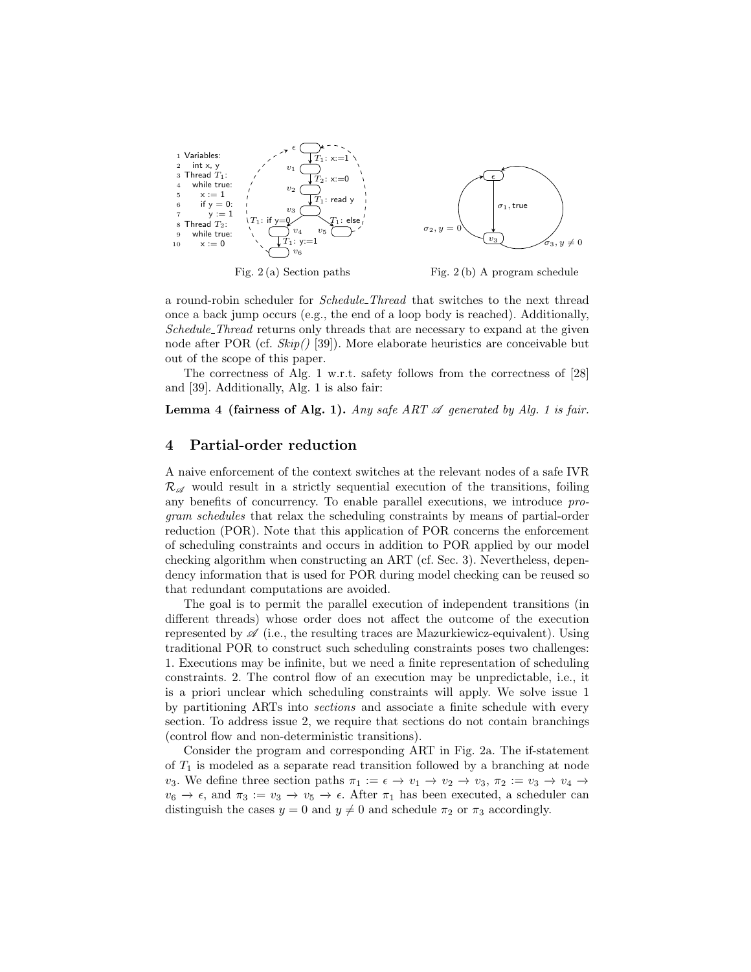<span id="page-8-2"></span>

a round-robin scheduler for Schedule Thread that switches to the next thread once a back jump occurs (e.g., the end of a loop body is reached). Additionally, Schedule\_Thread returns only threads that are necessary to expand at the given node after POR (cf.  $\mathcal{S}kip()$  [\[39\]](#page-17-4)). More elaborate heuristics are conceivable but out of the scope of this paper.

The correctness of Alg. 1 w.r.t. safety follows from the correctness of [\[28\]](#page-17-2) and [\[39\]](#page-17-4). Additionally, Alg. [1](#page-6-1) is also fair:

**Lemma 4 (fairness of Alg. 1).** Any safe ART  $\mathscr A$  generated by Alg. 1 is fair.

### 4 Partial-order reduction

A naive enforcement of the context switches at the relevant nodes of a safe IVR  $\mathcal{R}_{\mathscr{A}}$  would result in a strictly sequential execution of the transitions, foiling any benefits of concurrency. To enable parallel executions, we introduce program schedules that relax the scheduling constraints by means of partial-order reduction (POR). Note that this application of POR concerns the enforcement of scheduling constraints and occurs in addition to POR applied by our model checking algorithm when constructing an ART (cf. Sec. [3\)](#page-6-0). Nevertheless, dependency information that is used for POR during model checking can be reused so that redundant computations are avoided.

<span id="page-8-1"></span><span id="page-8-0"></span>The goal is to permit the parallel execution of independent transitions (in different threads) whose order does not affect the outcome of the execution represented by  $\mathscr A$  (i.e., the resulting traces are Mazurkiewicz-equivalent). Using traditional POR to construct such scheduling constraints poses two challenges: 1. Executions may be infinite, but we need a finite representation of scheduling constraints. 2. The control flow of an execution may be unpredictable, i.e., it is a priori unclear which scheduling constraints will apply. We solve issue [1](#page-8-0) by partitioning ARTs into sections and associate a finite schedule with every section. To address issue [2,](#page-8-1) we require that sections do not contain branchings (control flow and non-deterministic transitions).

Consider the program and corresponding ART in Fig. [2a.](#page-8-2) The if-statement of  $T_1$  is modeled as a separate read transition followed by a branching at node  $v_3$ . We define three section paths  $\pi_1 := \epsilon \to v_1 \to v_2 \to v_3$ ,  $\pi_2 := v_3 \to v_4 \to v_5$  $v_6 \to \epsilon$ , and  $\pi_3 := v_3 \to v_5 \to \epsilon$ . After  $\pi_1$  has been executed, a scheduler can distinguish the cases  $y = 0$  and  $y \neq 0$  and schedule  $\pi_2$  or  $\pi_3$  accordingly.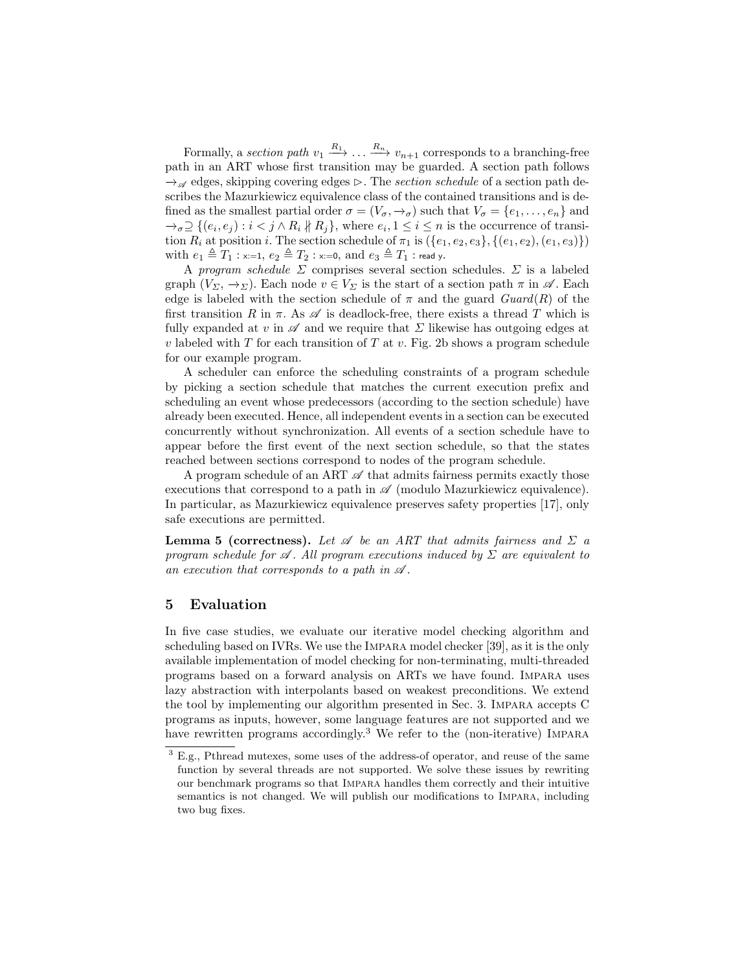Formally, a section path  $v_1 \stackrel{R_1}{\longrightarrow} \ldots \stackrel{R_n}{\longrightarrow} v_{n+1}$  corresponds to a branching-free path in an ART whose first transition may be guarded. A section path follows  $\rightarrow_{\mathscr{A}}$  edges, skipping covering edges  $\triangleright$ . The section schedule of a section path describes the Mazurkiewicz equivalence class of the contained transitions and is defined as the smallest partial order  $\sigma = (V_{\sigma}, \rightarrow_{\sigma})$  such that  $V_{\sigma} = \{e_1, \ldots, e_n\}$  and  $\rightarrow_{\sigma} \supseteq \{(e_i, e_j) : i < j \wedge R_i \nparallel R_j\}$ , where  $e_i, 1 \leq i \leq n$  is the occurrence of transition  $R_i$  at position i. The section schedule of  $\pi_1$  is  $({e_1, e_2, e_3}, {e_1, e_2}, (e_1, e_3))$ with  $e_1 \triangleq T_1$  : x:=1,  $e_2 \triangleq T_2$  : x:=0, and  $e_3 \triangleq T_1$  : read y.

A program schedule  $\Sigma$  comprises several section schedules.  $\Sigma$  is a labeled graph  $(V_{\Sigma}, \rightarrow_{\Sigma})$ . Each node  $v \in V_{\Sigma}$  is the start of a section path  $\pi$  in  $\mathscr{A}$ . Each edge is labeled with the section schedule of  $\pi$  and the guard  $Guard(R)$  of the first transition R in  $\pi$ . As  $\mathscr A$  is deadlock-free, there exists a thread T which is fully expanded at v in  $\mathscr A$  and we require that  $\Sigma$  likewise has outgoing edges at v labeled with  $T$  for each transition of  $T$  at v. Fig. [2b](#page-8-2) shows a program schedule for our example program.

A scheduler can enforce the scheduling constraints of a program schedule by picking a section schedule that matches the current execution prefix and scheduling an event whose predecessors (according to the section schedule) have already been executed. Hence, all independent events in a section can be executed concurrently without synchronization. All events of a section schedule have to appear before the first event of the next section schedule, so that the states reached between sections correspond to nodes of the program schedule.

A program schedule of an ART  $\mathscr A$  that admits fairness permits exactly those executions that correspond to a path in  $\mathscr A$  (modulo Mazurkiewicz equivalence). In particular, as Mazurkiewicz equivalence preserves safety properties [\[17\]](#page-16-1), only safe executions are permitted.

**Lemma 5 (correctness).** Let  $\mathscr A$  be an ART that admits fairness and  $\Sigma$  a program schedule for  $\mathscr A$ . All program executions induced by  $\Sigma$  are equivalent to an execution that corresponds to a path in  $\mathscr A$ .

## <span id="page-9-0"></span>5 Evaluation

In five case studies, we evaluate our iterative model checking algorithm and scheduling based on IVRs. We use the Impara model checker [\[39\]](#page-17-4), as it is the only available implementation of model checking for non-terminating, multi-threaded programs based on a forward analysis on ARTs we have found. Impara uses lazy abstraction with interpolants based on weakest preconditions. We extend the tool by implementing our algorithm presented in Sec. [3.](#page-6-0) Impara accepts C programs as inputs, however, some language features are not supported and we have rewritten programs accordingly.<sup>[3](#page-9-1)</sup> We refer to the (non-iterative) IMPARA

<span id="page-9-1"></span><sup>&</sup>lt;sup>3</sup> E.g., Pthread mutexes, some uses of the address-of operator, and reuse of the same function by several threads are not supported. We solve these issues by rewriting our benchmark programs so that Impara handles them correctly and their intuitive semantics is not changed. We will publish our modifications to Impara, including two bug fixes.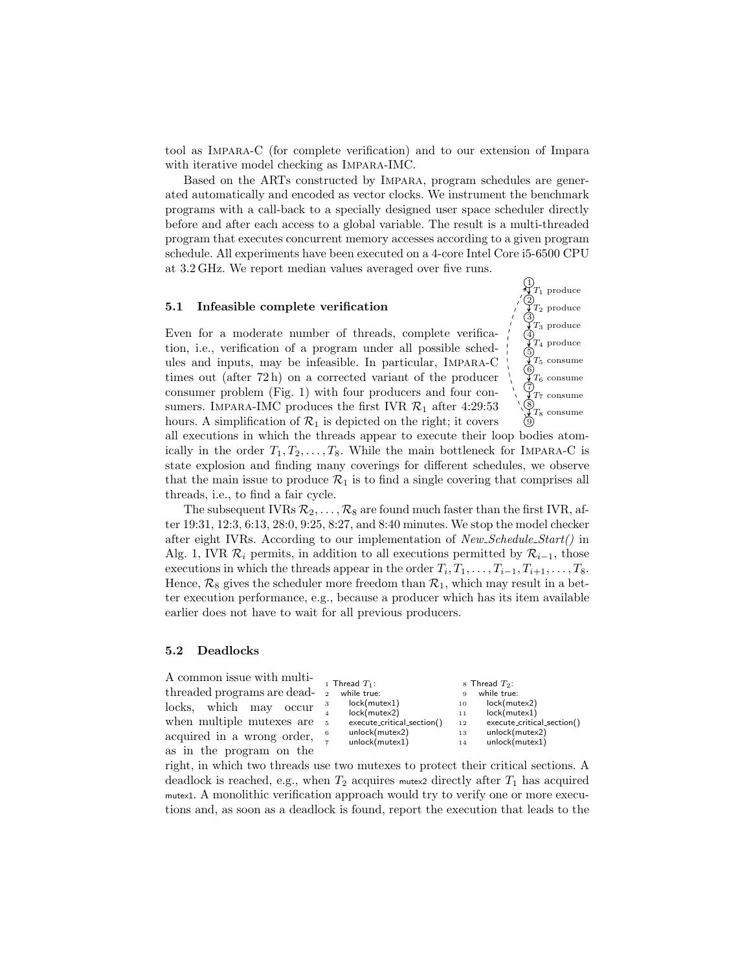tool as Impara-C (for complete verification) and to our extension of Impara with iterative model checking as IMPARA-IMC.

Based on the ARTs constructed by Impara, program schedules are generated automatically and encoded as vector clocks. We instrument the benchmark programs with a call-back to a specially designed user space scheduler directly before and after each access to a global variable. The result is a multi-threaded program that executes concurrent memory accesses according to a given program schedule. All experiments have been executed on a 4-core Intel Core i5-6500 CPU at 3.2 GHz. We report median values averaged over five runs.

#### 5.1 Infeasible complete verification

Even for a moderate number of threads, complete verification, i.e., verification of a program under all possible schedules and inputs, may be infeasible. In particular, Impara-C times out (after 72 h) on a corrected variant of the producer consumer problem (Fig. [1\)](#page-1-0) with four producers and four consumers. IMPARA-IMC produces the first IVR  $\mathcal{R}_1$  after 4:29:53 hours. A simplification of  $\mathcal{R}_1$  is depicted on the right; it covers



all executions in which the threads appear to execute their loop bodies atomically in the order  $T_1, T_2, \ldots, T_8$ . While the main bottleneck for IMPARA-C is state explosion and finding many coverings for different schedules, we observe that the main issue to produce  $\mathcal{R}_1$  is to find a single covering that comprises all threads, i.e., to find a fair cycle.

The subsequent IVRs  $\mathcal{R}_2, \ldots, \mathcal{R}_8$  are found much faster than the first IVR, after 19:31, 12:3, 6:13, 28:0, 9:25, 8:27, and 8:40 minutes. We stop the model checker after eight IVRs. According to our implementation of New Schedule Start() in Alg. [1,](#page-6-1) IVR  $\mathcal{R}_i$  permits, in addition to all executions permitted by  $\mathcal{R}_{i-1}$ , those executions in which the threads appear in the order  $T_i, T_1, \ldots, T_{i-1}, T_{i+1}, \ldots, T_8$ . Hence,  $\mathcal{R}_8$  gives the scheduler more freedom than  $\mathcal{R}_1$ , which may result in a better execution performance, e.g., because a producer which has its item available earlier does not have to wait for all previous producers.

#### <span id="page-10-0"></span>5.2 Deadlocks

A common issue with multithreaded programs are deadlocks, which may occur when multiple mutexes are acquired in a wrong order, as in the program on the

|                | 1 Thread $T_1$ :           |    | 8 Thread $T_2$ :           |
|----------------|----------------------------|----|----------------------------|
| $\overline{2}$ | while true:                | 9  | while true:                |
| 3              | lock(mutes1)               | 10 | lock(mutes2)               |
| $\overline{4}$ | lock(mutex2)               | 11 | lock(mutex1)               |
| 5              | execute_critical_section() | 12 | execute_critical_section() |
| 6              | unlock(mutex2)             | 13 | unlock(mutex2)             |
| $\overline{7}$ | unlock(mutex1)             | 14 | unlock(mutex1)             |
|                |                            |    |                            |

right, in which two threads use two mutexes to protect their critical sections. A deadlock is reached, e.g., when  $T_2$  acquires mutes directly after  $T_1$  has acquired mutex1. A monolithic verification approach would try to verify one or more executions and, as soon as a deadlock is found, report the execution that leads to the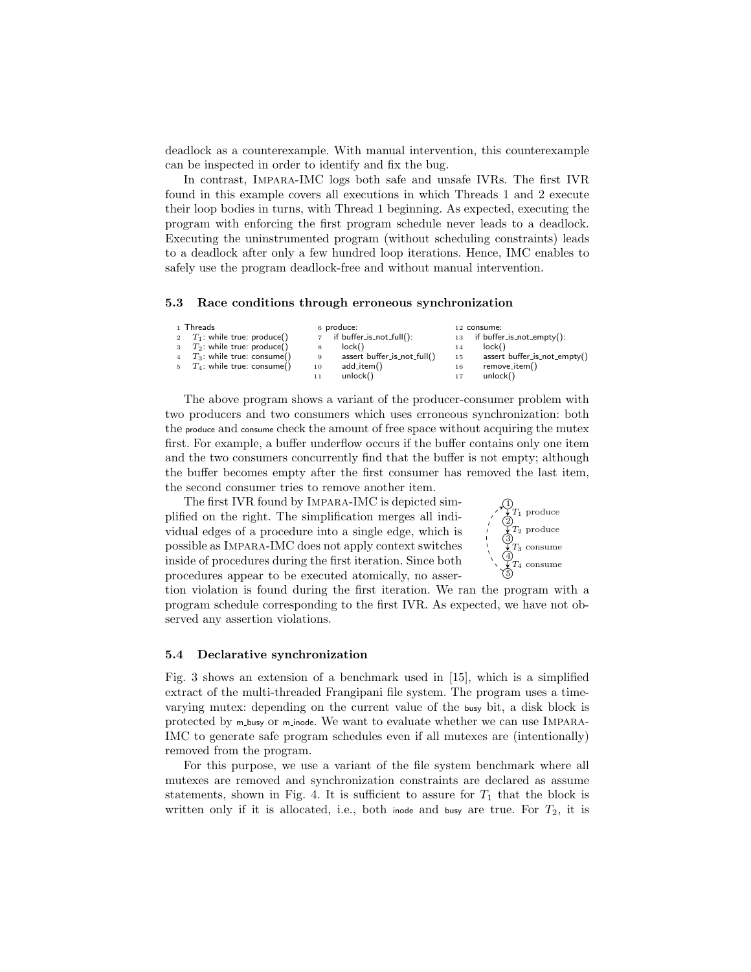deadlock as a counterexample. With manual intervention, this counterexample can be inspected in order to identify and fix the bug.

In contrast, Impara-IMC logs both safe and unsafe IVRs. The first IVR found in this example covers all executions in which Threads 1 and 2 execute their loop bodies in turns, with Thread 1 beginning. As expected, executing the program with enforcing the first program schedule never leads to a deadlock. Executing the uninstrumented program (without scheduling constraints) leads to a deadlock after only a few hundred loop iterations. Hence, IMC enables to safely use the program deadlock-free and without manual intervention.

#### 5.3 Race conditions through erroneous synchronization

|   | 1 Threads                       |    | 6 produce:                  |    | 12 consume:                    |
|---|---------------------------------|----|-----------------------------|----|--------------------------------|
|   | 2 $T_1$ : while true: produce() |    | 7 if buffer_is_not_full():  |    | $13$ if buffer_is_not_empty(): |
| 3 | $T_2$ : while true: produce()   | 8  | lock()                      | 14 | lock()                         |
|   | $T_3$ : while true: consume()   | 9  | assert buffer_is_not_full() | 15 | assert buffer_is_not_empty()   |
|   | $T_4$ : while true: consume()   | 10 | add_item()                  | 16 | remove_item()                  |
|   |                                 |    | unlock()                    |    | unlock()                       |

The above program shows a variant of the producer-consumer problem with two producers and two consumers which uses erroneous synchronization: both the produce and consume check the amount of free space without acquiring the mutex first. For example, a buffer underflow occurs if the buffer contains only one item and the two consumers concurrently find that the buffer is not empty; although the buffer becomes empty after the first consumer has removed the last item, the second consumer tries to remove another item.

The first IVR found by Impara-IMC is depicted simplified on the right. The simplification merges all individual edges of a procedure into a single edge, which is possible as Impara-IMC does not apply context switches inside of procedures during the first iteration. Since both procedures appear to be executed atomically, no asser-



tion violation is found during the first iteration. We ran the program with a program schedule corresponding to the first IVR. As expected, we have not observed any assertion violations.

#### <span id="page-11-0"></span>5.4 Declarative synchronization

Fig. [3](#page-12-0) shows an extension of a benchmark used in [\[15\]](#page-16-6), which is a simplified extract of the multi-threaded Frangipani file system. The program uses a timevarying mutex: depending on the current value of the busy bit, a disk block is protected by m busy or m inode. We want to evaluate whether we can use IMPARA-IMC to generate safe program schedules even if all mutexes are (intentionally) removed from the program.

For this purpose, we use a variant of the file system benchmark where all mutexes are removed and synchronization constraints are declared as assume statements, shown in Fig. [4.](#page-12-1) It is sufficient to assure for  $T_1$  that the block is written only if it is allocated, i.e., both inode and busy are true. For  $T_2$ , it is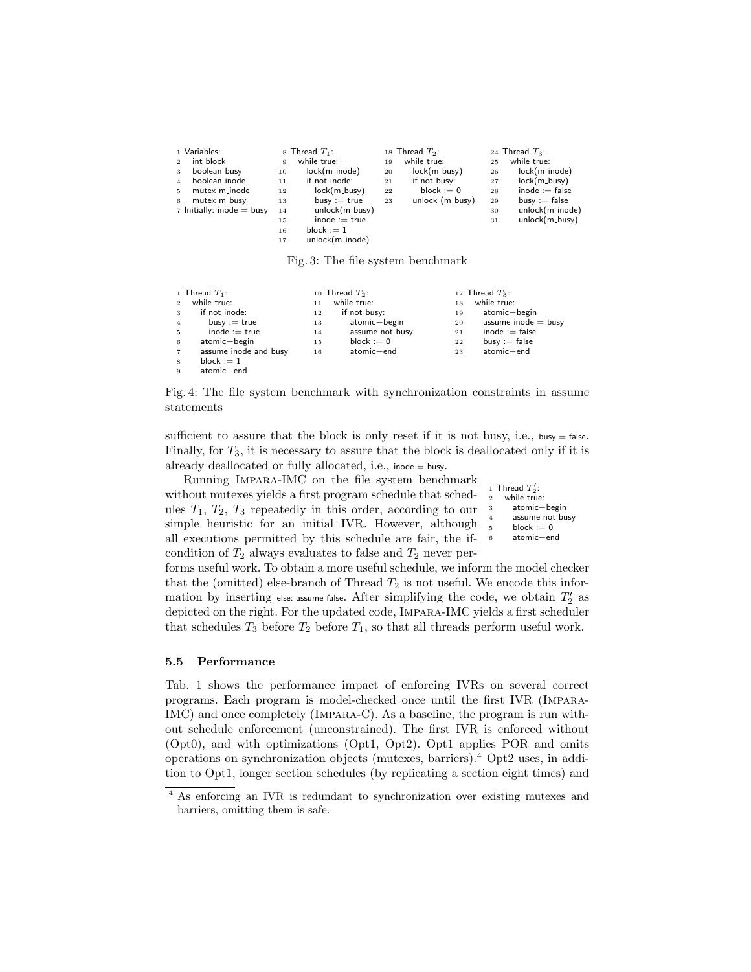<span id="page-12-0"></span>

| 1 Variables:<br>int block<br>$\overline{2}$<br>boolean busy<br>3<br>boolean inode<br>$\overline{4}$<br>mutex m_inode<br>5. | 9<br>10<br>11<br>12  | 8 Thread $T_1$ :<br>while true:<br>lock(m_inode)<br>if not inode:<br>$lock(m_busv)$ | 19<br>20<br>21<br>22 | 18 Thread $T_2$ :<br>while true:<br>$lock(m_busy)$<br>if not busy:<br>block $:= 0$ | 25<br>26<br>27<br>28 | 24 Thread $T_3$ :<br>while true:<br>$lock(m\_node)$<br>$lock(m_busy)$<br>inode $:=$ false |
|----------------------------------------------------------------------------------------------------------------------------|----------------------|-------------------------------------------------------------------------------------|----------------------|------------------------------------------------------------------------------------|----------------------|-------------------------------------------------------------------------------------------|
| $\tau$ Initially: inode = busy                                                                                             | 14<br>15<br>16<br>17 | unlock(m_busy)<br>$inode := true$<br>block $:= 1$<br>unlock(m_inode)                |                      |                                                                                    | 30<br>31             | unlock(m_inode)<br>$unlock(m_busy)$                                                       |

Fig. 3: The file system benchmark

<span id="page-12-1"></span>

|                | 1 Thread $T_1$ :      |    | 10 Thread $T_2$ : |    | 17 Thread $T_3$ :     |
|----------------|-----------------------|----|-------------------|----|-----------------------|
| 2              | while true:           | 11 | while true:       | 18 | while true:           |
| $\mathbf{3}$   | if not inode:         | 12 | if not busy:      | 19 | atomic-begin          |
| $\overline{4}$ | $busy := true$        | 13 | atomic-begin      | 20 | assume inode $=$ busy |
| $5^{\circ}$    | $inode := true$       | 14 | assume not busy   | 21 | $inode := false$      |
| 6              | atomic-begin          | 15 | block $:= 0$      | 22 | $busv := false$       |
| $\overline{7}$ | assume inode and busy | 16 | atomic-end        | 23 | atomic-end            |
| 8              | block $:= 1$          |    |                   |    |                       |
| $\overline{9}$ | atomic-end            |    |                   |    |                       |

Fig. 4: The file system benchmark with synchronization constraints in assume statements

sufficient to assure that the block is only reset if it is not busy, i.e.,  $busp = false$ . Finally, for  $T_3$ , it is necessary to assure that the block is deallocated only if it is already deallocated or fully allocated, i.e., inode = busy.

Running Impara-IMC on the file system benchmark without mutexes yields a first program schedule that schedules  $T_1$ ,  $T_2$ ,  $T_3$  repeatedly in this order, according to our simple heuristic for an initial IVR. However, although all executions permitted by this schedule are fair, the ifcondition of  $T_2$  always evaluates to false and  $T_2$  never per-

```
1 Thread T_2':
2 while true:
      atomic−begin
      assume not busy
      block := 06 atomic−end
```
forms useful work. To obtain a more useful schedule, we inform the model checker that the (omitted) else-branch of Thread  $T_2$  is not useful. We encode this information by inserting else: assume false. After simplifying the code, we obtain  $T_2^\prime$  as depicted on the right. For the updated code, Impara-IMC yields a first scheduler that schedules  $T_3$  before  $T_2$  before  $T_1$ , so that all threads perform useful work.

#### 5.5 Performance

Tab. [1](#page-13-0) shows the performance impact of enforcing IVRs on several correct programs. Each program is model-checked once until the first IVR (Impara-IMC) and once completely (Impara-C). As a baseline, the program is run without schedule enforcement (unconstrained). The first IVR is enforced without (Opt0), and with optimizations (Opt1, Opt2). Opt1 applies POR and omits operations on synchronization objects (mutexes, barriers).[4](#page-12-2) Opt2 uses, in addition to Opt1, longer section schedules (by replicating a section eight times) and

<span id="page-12-2"></span> As enforcing an IVR is redundant to synchronization over existing mutexes and barriers, omitting them is safe.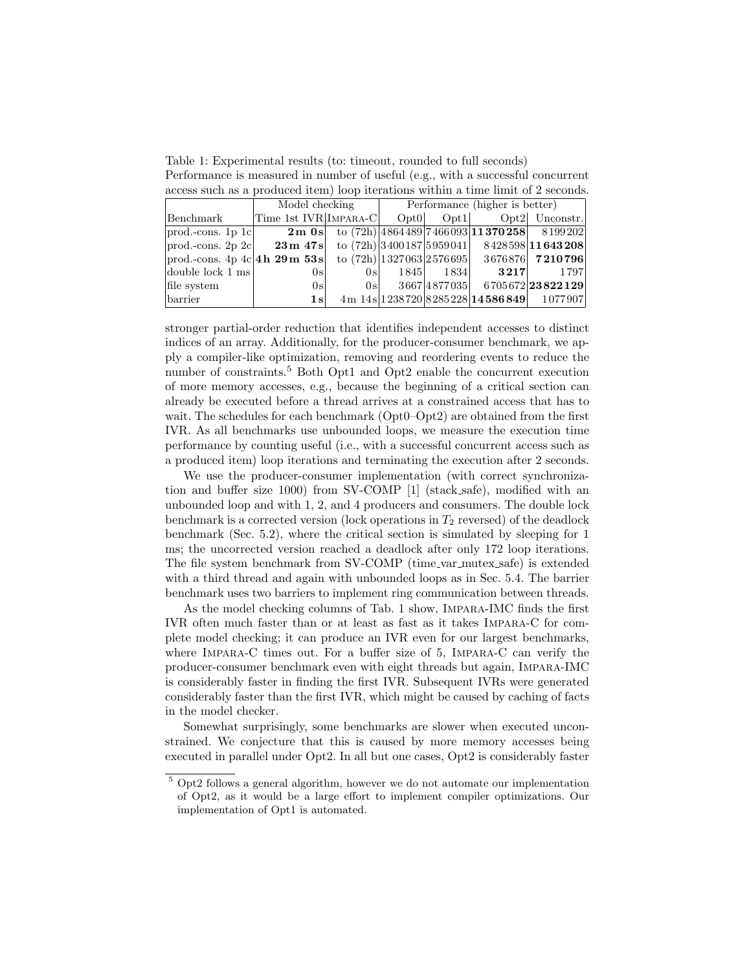<span id="page-13-0"></span>Table 1: Experimental results (to: timeout, rounded to full seconds) Performance is measured in number of useful (e.g., with a successful concurrent access such as a produced item) loop iterations within a time limit of 2 seconds.

|                                               | Model checking        | Performance (higher is better) |                            |           |                                             |                 |
|-----------------------------------------------|-----------------------|--------------------------------|----------------------------|-----------|---------------------------------------------|-----------------|
| Benchmark                                     | Time 1st IVR IMPARA-C |                                | Opt0                       |           | $Opt1$ $Opt2$ Unconstr.                     |                 |
| $ prod.-cons. 1p 1c $                         | $2m$ 0s               |                                |                            |           | to $(72h)$ 4864489 7466093 11370258 8199202 |                 |
| $ prod.-cons. 2p 2c $                         | $23\,\mathrm{m}$ 47s  |                                |                            |           | to $(72h)$ 3400187 5959041 8428598 11643208 |                 |
| $ {\rm prod.\text{-}cons. 4p 4c} 4h 29m 53s $ |                       |                                | to $(72h)$ 1327063 2576695 |           |                                             | 3676876 7210796 |
| double lock $1 \text{ ms}$                    | 0s                    | 0s                             |                            | 1845 1834 | 3217                                        | 1797            |
| file system                                   | 0s                    | 0s                             |                            |           | $3667 4877035 $ 6705672 23822129            |                 |
| barrier                                       | 1s <sup>1</sup>       |                                |                            |           | 4m 14s 1238720 8285228 14586849 1077907     |                 |

stronger partial-order reduction that identifies independent accesses to distinct indices of an array. Additionally, for the producer-consumer benchmark, we apply a compiler-like optimization, removing and reordering events to reduce the number of constraints.<sup>[5](#page-13-1)</sup> Both Opt1 and Opt2 enable the concurrent execution of more memory accesses, e.g., because the beginning of a critical section can already be executed before a thread arrives at a constrained access that has to wait. The schedules for each benchmark (Opt0–Opt2) are obtained from the first IVR. As all benchmarks use unbounded loops, we measure the execution time performance by counting useful (i.e., with a successful concurrent access such as a produced item) loop iterations and terminating the execution after 2 seconds.

We use the producer-consumer implementation (with correct synchronization and buffer size 1000) from SV-COMP [\[1\]](#page-16-7) (stack safe), modified with an unbounded loop and with 1, 2, and 4 producers and consumers. The double lock benchmark is a corrected version (lock operations in  $T_2$  reversed) of the deadlock benchmark (Sec. [5.2\)](#page-10-0), where the critical section is simulated by sleeping for 1 ms; the uncorrected version reached a deadlock after only 172 loop iterations. The file system benchmark from SV-COMP (time var mutex safe) is extended with a third thread and again with unbounded loops as in Sec. [5.4.](#page-11-0) The barrier benchmark uses two barriers to implement ring communication between threads.

As the model checking columns of Tab. [1](#page-13-0) show, Impara-IMC finds the first IVR often much faster than or at least as fast as it takes Impara-C for complete model checking; it can produce an IVR even for our largest benchmarks, where Impara-C times out. For a buffer size of 5, Impara-C can verify the producer-consumer benchmark even with eight threads but again, Impara-IMC is considerably faster in finding the first IVR. Subsequent IVRs were generated considerably faster than the first IVR, which might be caused by caching of facts in the model checker.

Somewhat surprisingly, some benchmarks are slower when executed unconstrained. We conjecture that this is caused by more memory accesses being executed in parallel under Opt2. In all but one cases, Opt2 is considerably faster

<span id="page-13-1"></span><sup>&</sup>lt;sup>5</sup> Opt2 follows a general algorithm, however we do not automate our implementation of Opt2, as it would be a large effort to implement compiler optimizations. Our implementation of Opt1 is automated.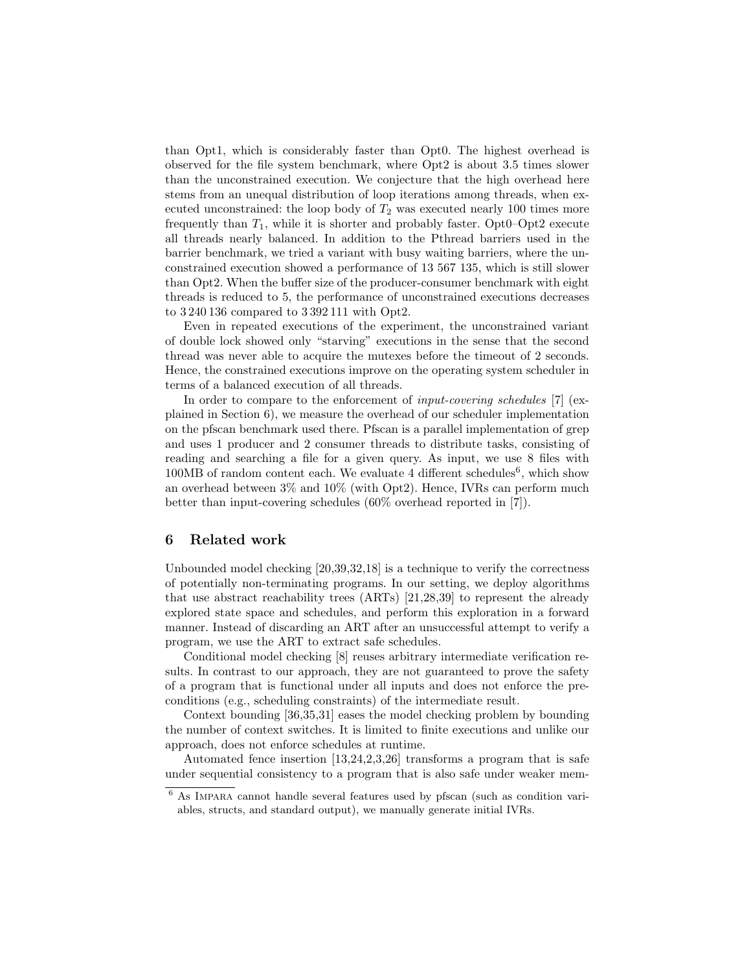than Opt1, which is considerably faster than Opt0. The highest overhead is observed for the file system benchmark, where Opt2 is about 3.5 times slower than the unconstrained execution. We conjecture that the high overhead here stems from an unequal distribution of loop iterations among threads, when executed unconstrained: the loop body of  $T_2$  was executed nearly 100 times more frequently than  $T_1$ , while it is shorter and probably faster. Opt0–Opt2 execute all threads nearly balanced. In addition to the Pthread barriers used in the barrier benchmark, we tried a variant with busy waiting barriers, where the unconstrained execution showed a performance of 13 567 135, which is still slower than Opt2. When the buffer size of the producer-consumer benchmark with eight threads is reduced to 5, the performance of unconstrained executions decreases to 3 240 136 compared to 3 392 111 with Opt2.

Even in repeated executions of the experiment, the unconstrained variant of double lock showed only "starving" executions in the sense that the second thread was never able to acquire the mutexes before the timeout of 2 seconds. Hence, the constrained executions improve on the operating system scheduler in terms of a balanced execution of all threads.

In order to compare to the enforcement of *input-covering schedules* [\[7\]](#page-16-8) (explained in Section [6\)](#page-14-0), we measure the overhead of our scheduler implementation on the pfscan benchmark used there. Pfscan is a parallel implementation of grep and uses 1 producer and 2 consumer threads to distribute tasks, consisting of reading and searching a file for a given query. As input, we use 8 files with  $100MB$  of random content each. We evaluate 4 different schedules<sup>[6](#page-14-1)</sup>, which show an overhead between 3% and 10% (with Opt2). Hence, IVRs can perform much better than input-covering schedules (60% overhead reported in [\[7\]](#page-16-8)).

## <span id="page-14-0"></span>6 Related work

Unbounded model checking [\[20,](#page-16-9)[39,](#page-17-4)[32](#page-17-5)[,18\]](#page-16-10) is a technique to verify the correctness of potentially non-terminating programs. In our setting, we deploy algorithms that use abstract reachability trees (ARTs) [\[21,](#page-16-4)[28,](#page-17-2)[39\]](#page-17-4) to represent the already explored state space and schedules, and perform this exploration in a forward manner. Instead of discarding an ART after an unsuccessful attempt to verify a program, we use the ART to extract safe schedules.

Conditional model checking [\[8\]](#page-16-11) reuses arbitrary intermediate verification results. In contrast to our approach, they are not guaranteed to prove the safety of a program that is functional under all inputs and does not enforce the preconditions (e.g., scheduling constraints) of the intermediate result.

Context bounding [\[36](#page-17-6)[,35,](#page-17-7)[31\]](#page-17-8) eases the model checking problem by bounding the number of context switches. It is limited to finite executions and unlike our approach, does not enforce schedules at runtime.

Automated fence insertion [\[13,](#page-16-12)[24,](#page-17-9)[2,](#page-16-13)[3](#page-16-14)[,26\]](#page-17-10) transforms a program that is safe under sequential consistency to a program that is also safe under weaker mem-

<span id="page-14-1"></span><sup>6</sup> As Impara cannot handle several features used by pfscan (such as condition variables, structs, and standard output), we manually generate initial IVRs.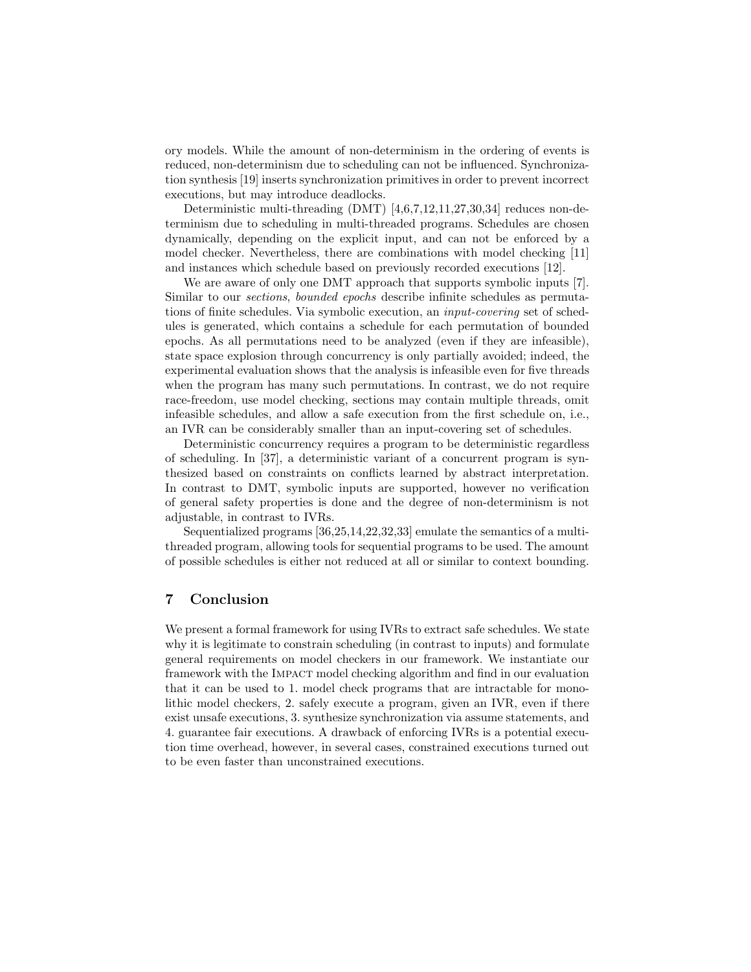ory models. While the amount of non-determinism in the ordering of events is reduced, non-determinism due to scheduling can not be influenced. Synchronization synthesis [\[19\]](#page-16-15) inserts synchronization primitives in order to prevent incorrect executions, but may introduce deadlocks.

Deterministic multi-threading (DMT) [\[4,](#page-16-16)[6,](#page-16-17)[7,](#page-16-8)[12,](#page-16-18)[11](#page-16-19)[,27,](#page-17-11)[30,](#page-17-12)[34\]](#page-17-13) reduces non-determinism due to scheduling in multi-threaded programs. Schedules are chosen dynamically, depending on the explicit input, and can not be enforced by a model checker. Nevertheless, there are combinations with model checking [\[11\]](#page-16-19) and instances which schedule based on previously recorded executions [\[12\]](#page-16-18).

We are aware of only one DMT approach that supports symbolic inputs [\[7\]](#page-16-8). Similar to our sections, bounded epochs describe infinite schedules as permutations of finite schedules. Via symbolic execution, an input-covering set of schedules is generated, which contains a schedule for each permutation of bounded epochs. As all permutations need to be analyzed (even if they are infeasible), state space explosion through concurrency is only partially avoided; indeed, the experimental evaluation shows that the analysis is infeasible even for five threads when the program has many such permutations. In contrast, we do not require race-freedom, use model checking, sections may contain multiple threads, omit infeasible schedules, and allow a safe execution from the first schedule on, i.e., an IVR can be considerably smaller than an input-covering set of schedules.

Deterministic concurrency requires a program to be deterministic regardless of scheduling. In [\[37\]](#page-17-14), a deterministic variant of a concurrent program is synthesized based on constraints on conflicts learned by abstract interpretation. In contrast to DMT, symbolic inputs are supported, however no verification of general safety properties is done and the degree of non-determinism is not adjustable, in contrast to IVRs.

Sequentialized programs [\[36,](#page-17-6)[25,](#page-17-15)[14](#page-16-20)[,22,](#page-16-21)[32,](#page-17-5)[33\]](#page-17-16) emulate the semantics of a multithreaded program, allowing tools for sequential programs to be used. The amount of possible schedules is either not reduced at all or similar to context bounding.

## 7 Conclusion

We present a formal framework for using IVRs to extract safe schedules. We state why it is legitimate to constrain scheduling (in contrast to inputs) and formulate general requirements on model checkers in our framework. We instantiate our framework with the Impact model checking algorithm and find in our evaluation that it can be used to 1. model check programs that are intractable for monolithic model checkers, 2. safely execute a program, given an IVR, even if there exist unsafe executions, 3. synthesize synchronization via assume statements, and 4. guarantee fair executions. A drawback of enforcing IVRs is a potential execution time overhead, however, in several cases, constrained executions turned out to be even faster than unconstrained executions.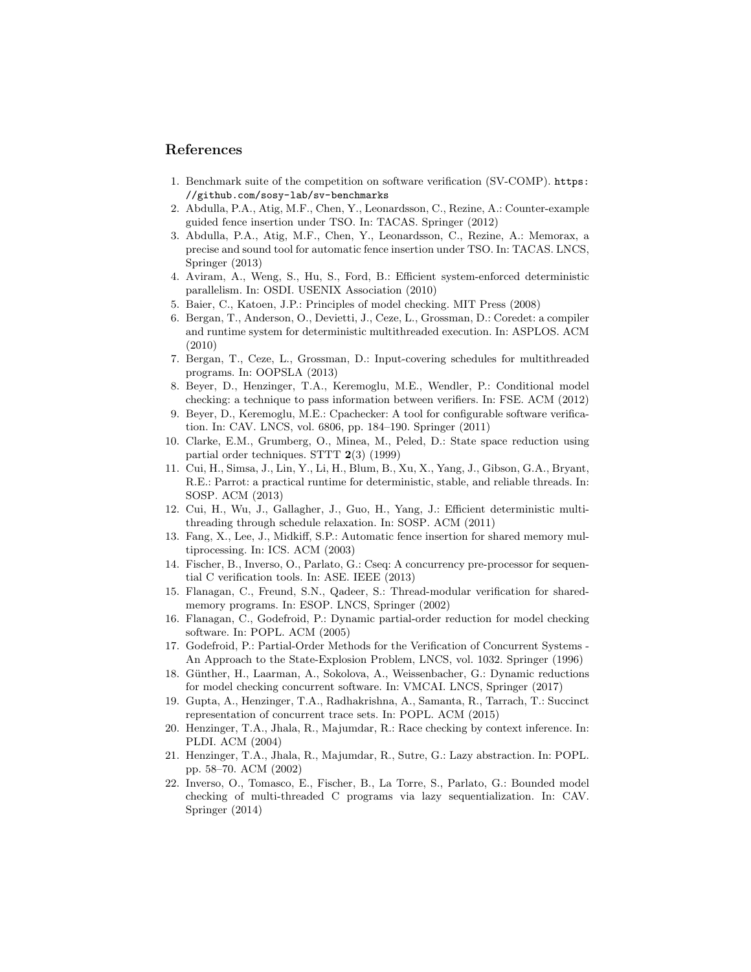## References

- <span id="page-16-7"></span>1. Benchmark suite of the competition on software verification (SV-COMP). [https:](https://github.com/sosy-lab/sv-benchmarks) [//github.com/sosy-lab/sv-benchmarks](https://github.com/sosy-lab/sv-benchmarks)
- <span id="page-16-13"></span>2. Abdulla, P.A., Atig, M.F., Chen, Y., Leonardsson, C., Rezine, A.: Counter-example guided fence insertion under TSO. In: TACAS. Springer (2012)
- <span id="page-16-14"></span>3. Abdulla, P.A., Atig, M.F., Chen, Y., Leonardsson, C., Rezine, A.: Memorax, a precise and sound tool for automatic fence insertion under TSO. In: TACAS. LNCS, Springer (2013)
- <span id="page-16-16"></span>4. Aviram, A., Weng, S., Hu, S., Ford, B.: Efficient system-enforced deterministic parallelism. In: OSDI. USENIX Association (2010)
- <span id="page-16-3"></span>5. Baier, C., Katoen, J.P.: Principles of model checking. MIT Press (2008)
- <span id="page-16-17"></span>6. Bergan, T., Anderson, O., Devietti, J., Ceze, L., Grossman, D.: Coredet: a compiler and runtime system for deterministic multithreaded execution. In: ASPLOS. ACM (2010)
- <span id="page-16-8"></span>7. Bergan, T., Ceze, L., Grossman, D.: Input-covering schedules for multithreaded programs. In: OOPSLA (2013)
- <span id="page-16-11"></span>8. Beyer, D., Henzinger, T.A., Keremoglu, M.E., Wendler, P.: Conditional model checking: a technique to pass information between verifiers. In: FSE. ACM (2012)
- <span id="page-16-5"></span>9. Beyer, D., Keremoglu, M.E.: Cpachecker: A tool for configurable software verification. In: CAV. LNCS, vol. 6806, pp. 184–190. Springer (2011)
- <span id="page-16-0"></span>10. Clarke, E.M., Grumberg, O., Minea, M., Peled, D.: State space reduction using partial order techniques. STTT 2(3) (1999)
- <span id="page-16-19"></span>11. Cui, H., Simsa, J., Lin, Y., Li, H., Blum, B., Xu, X., Yang, J., Gibson, G.A., Bryant, R.E.: Parrot: a practical runtime for deterministic, stable, and reliable threads. In: SOSP. ACM (2013)
- <span id="page-16-18"></span>12. Cui, H., Wu, J., Gallagher, J., Guo, H., Yang, J.: Efficient deterministic multithreading through schedule relaxation. In: SOSP. ACM (2011)
- <span id="page-16-12"></span>13. Fang, X., Lee, J., Midkiff, S.P.: Automatic fence insertion for shared memory multiprocessing. In: ICS. ACM (2003)
- <span id="page-16-20"></span>14. Fischer, B., Inverso, O., Parlato, G.: Cseq: A concurrency pre-processor for sequential C verification tools. In: ASE. IEEE (2013)
- <span id="page-16-6"></span>15. Flanagan, C., Freund, S.N., Qadeer, S.: Thread-modular verification for sharedmemory programs. In: ESOP. LNCS, Springer (2002)
- <span id="page-16-2"></span>16. Flanagan, C., Godefroid, P.: Dynamic partial-order reduction for model checking software. In: POPL. ACM (2005)
- <span id="page-16-1"></span>17. Godefroid, P.: Partial-Order Methods for the Verification of Concurrent Systems - An Approach to the State-Explosion Problem, LNCS, vol. 1032. Springer (1996)
- <span id="page-16-10"></span>18. Günther, H., Laarman, A., Sokolova, A., Weissenbacher, G.: Dynamic reductions for model checking concurrent software. In: VMCAI. LNCS, Springer (2017)
- <span id="page-16-15"></span>19. Gupta, A., Henzinger, T.A., Radhakrishna, A., Samanta, R., Tarrach, T.: Succinct representation of concurrent trace sets. In: POPL. ACM (2015)
- <span id="page-16-9"></span>20. Henzinger, T.A., Jhala, R., Majumdar, R.: Race checking by context inference. In: PLDI. ACM (2004)
- <span id="page-16-4"></span>21. Henzinger, T.A., Jhala, R., Majumdar, R., Sutre, G.: Lazy abstraction. In: POPL. pp. 58–70. ACM (2002)
- <span id="page-16-21"></span>22. Inverso, O., Tomasco, E., Fischer, B., La Torre, S., Parlato, G.: Bounded model checking of multi-threaded C programs via lazy sequentialization. In: CAV. Springer (2014)